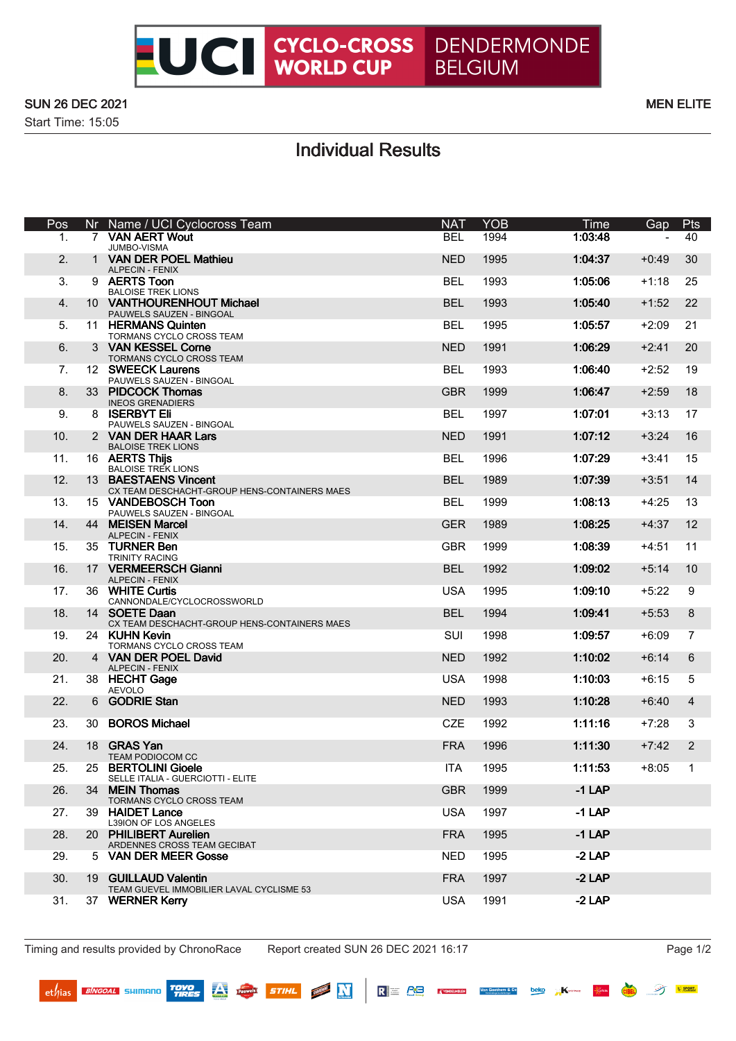

### SUN 26 DEC 2021 MEN ELITE

Start Time: 15:05

# Individual Results

| Pos | Nr           | Name / UCI Cyclocross Team                                         | <b>NAT</b> | <b>YOB</b> | Time     | Gap     | Pts               |
|-----|--------------|--------------------------------------------------------------------|------------|------------|----------|---------|-------------------|
| 1.  |              | 7 VAN AERT Wout<br>JUMBO-VISMA                                     | <b>BEL</b> | 1994       | 1:03:48  |         | 40                |
| 2.  | $\mathbf{1}$ | <b>VAN DER POEL Mathieu</b><br><b>ALPECIN - FENIX</b>              | <b>NED</b> | 1995       | 1:04:37  | $+0:49$ | 30                |
| 3.  |              | 9 AERTS Toon<br><b>BALOISE TREK LIONS</b>                          | <b>BEL</b> | 1993       | 1:05:06  | $+1:18$ | 25                |
| 4.  |              | 10 VANTHOURENHOUT Michael<br>PAUWELS SAUZEN - BINGOAL              | <b>BEL</b> | 1993       | 1:05:40  | $+1:52$ | 22                |
| 5.  |              | 11 HERMANS Quinten<br>TORMANS CYCLO CROSS TEAM                     | BEL        | 1995       | 1:05:57  | $+2:09$ | 21                |
| 6.  |              | 3 VAN KESSEL Corne<br>TORMANS CYCLO CROSS TEAM                     | <b>NED</b> | 1991       | 1:06:29  | $+2:41$ | 20                |
| 7.  |              | 12 SWEECK Laurens<br>PAUWELS SAUZEN - BINGOAL                      | <b>BEL</b> | 1993       | 1:06:40  | $+2:52$ | 19                |
| 8.  |              | 33 PIDCOCK Thomas<br><b>INEOS GRENADIERS</b>                       | <b>GBR</b> | 1999       | 1:06:47  | $+2:59$ | 18                |
| 9.  |              | 8 ISERBYT Eli<br>PAUWELS SAUZEN - BINGOAL                          | <b>BEL</b> | 1997       | 1:07:01  | $+3:13$ | 17                |
| 10. |              | 2 VAN DER HAAR Lars                                                | <b>NED</b> | 1991       | 1:07:12  | $+3:24$ | 16                |
| 11. |              | <b>BALOISE TREK LIONS</b><br>16 AERTS Thijs                        | <b>BEL</b> | 1996       | 1:07:29  | $+3:41$ | 15                |
| 12. |              | <b>BALOISE TREK LIONS</b><br>13 BAESTAENS Vincent                  | <b>BEL</b> | 1989       | 1:07:39  | $+3:51$ | 14                |
| 13. |              | CX TEAM DESCHACHT-GROUP HENS-CONTAINERS MAES<br>15 VANDEBOSCH Toon | <b>BEL</b> | 1999       | 1:08:13  | $+4:25$ | 13                |
| 14. |              | PAUWELS SAUZEN - BINGOAL<br>44 MEISEN Marcel                       | <b>GER</b> | 1989       | 1:08:25  | $+4:37$ | $12 \overline{ }$ |
| 15. |              | ALPECIN - FENIX<br>35 TURNER Ben                                   | <b>GBR</b> | 1999       | 1:08:39  | +4:51   | 11                |
| 16. |              | <b>TRINITY RACING</b><br>17 VERMEERSCH Gianni                      | <b>BEL</b> | 1992       | 1:09:02  | $+5:14$ | 10                |
| 17. |              | <b>ALPECIN - FENIX</b><br>36 WHITE Curtis                          | <b>USA</b> | 1995       | 1:09:10  | $+5:22$ | 9                 |
| 18. |              | CANNONDALE/CYCLOCROSSWORLD<br>14 SOETE Daan                        | <b>BEL</b> | 1994       | 1:09:41  | $+5:53$ | 8                 |
| 19. |              | CX TEAM DESCHACHT-GROUP HENS-CONTAINERS MAES<br>24 KUHN Kevin      | <b>SUI</b> | 1998       | 1:09:57  | +6:09   | 7                 |
| 20. |              | TORMANS CYCLO CROSS TEAM<br>4 VAN DER POEL David                   | <b>NED</b> | 1992       | 1:10:02  | $+6:14$ | 6                 |
| 21. |              | <b>ALPECIN - FENIX</b><br>38 HECHT Gage<br><b>AEVOLO</b>           | <b>USA</b> | 1998       | 1:10:03  | $+6:15$ | 5                 |
| 22. |              | 6 GODRIE Stan                                                      | <b>NED</b> | 1993       | 1:10:28  | $+6:40$ | $\overline{4}$    |
| 23. | 30           | <b>BOROS Michael</b>                                               | <b>CZE</b> | 1992       | 1:11:16  | $+7:28$ | 3                 |
| 24. |              | 18 GRAS Yan<br><b>TEAM PODIOCOM CC</b>                             | <b>FRA</b> | 1996       | 1:11:30  | $+7:42$ | $\overline{2}$    |
| 25. |              | 25 BERTOLINI Gioele<br>SELLE ITALIA - GUERCIOTTI - ELITE           | <b>ITA</b> | 1995       | 1:11:53  | $+8:05$ | 1                 |
| 26. |              | 34 MEIN Thomas<br>TORMANS CYCLO CROSS TEAM                         | <b>GBR</b> | 1999       | $-1$ LAP |         |                   |
| 27. |              | 39 HAIDET Lance<br>L39ION OF LOS ANGELES                           | <b>USA</b> | 1997       | $-1$ LAP |         |                   |
| 28. |              | 20 PHILIBERT Aurelien<br>ARDENNES CROSS TEAM GECIBAT               | <b>FRA</b> | 1995       | $-1$ LAP |         |                   |
| 29. |              | 5 VAN DER MEER Gosse                                               | <b>NED</b> | 1995       | $-2$ LAP |         |                   |
| 30. |              | 19 GUILLAUD Valentin<br>TEAM GUEVEL IMMOBILIER LAVAL CYCLISME 53   | <b>FRA</b> | 1997       | $-2$ LAP |         |                   |
| 31. |              | 37 WERNER Kerry                                                    | <b>USA</b> | 1991       | $-2$ LAP |         |                   |

Timing and results provided by ChronoRace Report created SUN 26 DEC 2021 16:17 Page 1/2

 $ext{et}$ /ias *BINGOAL* SHIMANO **TOYO** 

 $R \equiv RB$ 

l.<br>Ka .<br>Feridinal Van Goethem & Co

beko

**NEW N** 

**STIHL** 

**AV rauwels** 

**M** SPORT

穸